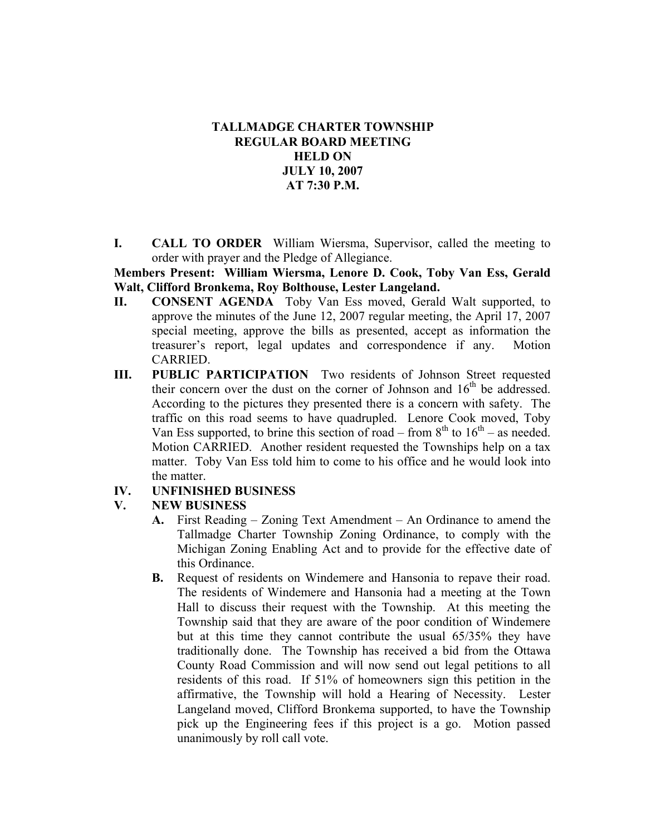## **TALLMADGE CHARTER TOWNSHIP REGULAR BOARD MEETING HELD ON JULY 10, 2007 AT 7:30 P.M.**

**I. CALL TO ORDER** William Wiersma, Supervisor, called the meeting to order with prayer and the Pledge of Allegiance.

### **Members Present: William Wiersma, Lenore D. Cook, Toby Van Ess, Gerald Walt, Clifford Bronkema, Roy Bolthouse, Lester Langeland.**

- **II. CONSENT AGENDA** Toby Van Ess moved, Gerald Walt supported, to approve the minutes of the June 12, 2007 regular meeting, the April 17, 2007 special meeting, approve the bills as presented, accept as information the treasurer's report, legal updates and correspondence if any. Motion CARRIED.
- **III. PUBLIC PARTICIPATION** Two residents of Johnson Street requested their concern over the dust on the corner of Johnson and  $16<sup>th</sup>$  be addressed. According to the pictures they presented there is a concern with safety. The traffic on this road seems to have quadrupled. Lenore Cook moved, Toby Van Ess supported, to brine this section of road – from  $8<sup>th</sup>$  to  $16<sup>th</sup>$  – as needed. Motion CARRIED. Another resident requested the Townships help on a tax matter. Toby Van Ess told him to come to his office and he would look into the matter.

#### **IV. UNFINISHED BUSINESS**

## **V. NEW BUSINESS**

- **A.** First Reading Zoning Text Amendment An Ordinance to amend the Tallmadge Charter Township Zoning Ordinance, to comply with the Michigan Zoning Enabling Act and to provide for the effective date of this Ordinance.
- **B.** Request of residents on Windemere and Hansonia to repave their road. The residents of Windemere and Hansonia had a meeting at the Town Hall to discuss their request with the Township. At this meeting the Township said that they are aware of the poor condition of Windemere but at this time they cannot contribute the usual 65/35% they have traditionally done. The Township has received a bid from the Ottawa County Road Commission and will now send out legal petitions to all residents of this road. If 51% of homeowners sign this petition in the affirmative, the Township will hold a Hearing of Necessity. Lester Langeland moved, Clifford Bronkema supported, to have the Township pick up the Engineering fees if this project is a go. Motion passed unanimously by roll call vote.